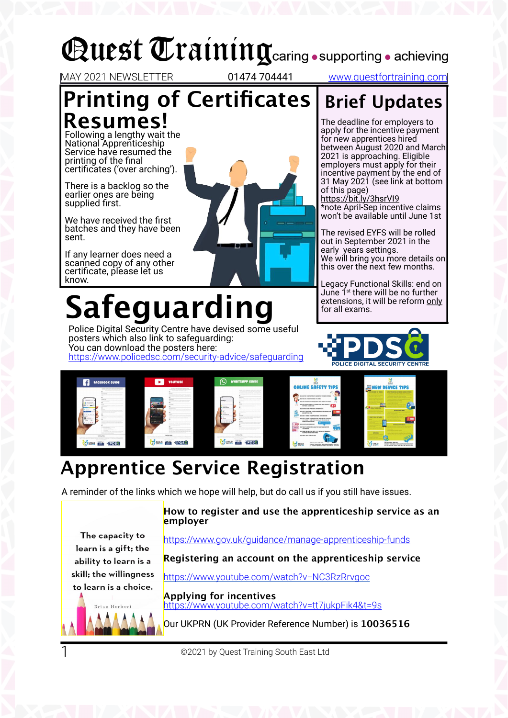## **Quest Training** caring • supporting • achieving

MAY 2021 NEWSLETTER 01474 704441 www.questfortraining.com

### **Printing of Certificates Resumes!**

Following a lengthy wait the National Apprenticeship Service have resumed the printing of the final certificates ('over arching').

There is a backlog so the earlier ones are being supplied first.

We have received the first batches and they have been sent.

If any learner does need a scanned copy of any other certificate, please let us know.

# **Safeguarding**

Police Digital Security Centre have devised some useful posters which also link to safeguarding: You can download the posters here:

https://www.policedsc.com/security-advice/safeguarding



The deadline for employers to apply for the incentive payment for new apprentices hired between August 2020 and March 2021 is approaching. Eligible employers must apply for their incentive payment by the end of 31 May 2021 (see link at bottom of this page) https://bit.ly/3hsrVI9

**Brief Updates**

\*note April-Sep incentive claims won't be available until June 1st

The revised EYFS will be rolled out in September 2021 in the early years settings. We will bring you more details on this over the next few months.

Legacy Functional Skills: end on June 1<sup>st</sup> there will be no further extensions, it will be reform only for all exams.





### **Apprentice Service Registration**

A reminder of the links which we hope will help, but do call us if you still have issues.

#### **How to register and use the apprenticeship service as an employer**

https://www.gov.uk/guidance/manage-apprenticeship-funds

**Registering an account on the apprenticeship service**

https://www.youtube.com/watch?v=NC3RzRrvgoc



The capacity to learn is a gift; the ability to learn is a skill; the willingness

1

**Applying for incentives** https://www.youtube.com/watch?v=tt7jukpFik4&t=9s

Our UKPRN (UK Provider Reference Number) is **10036516**

©2021 by Quest Training South East Ltd